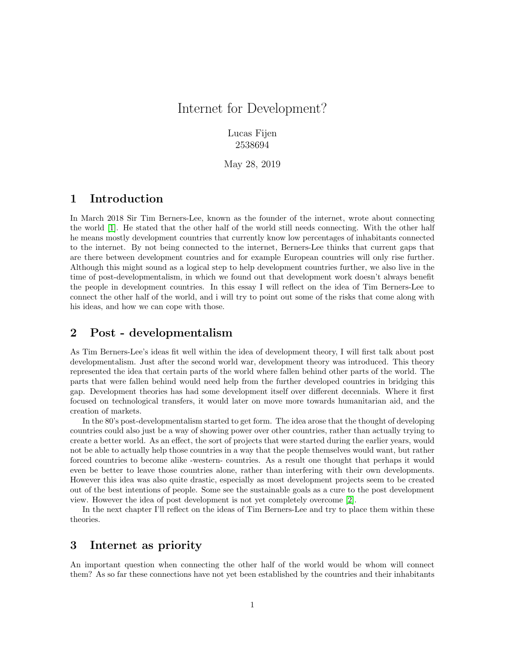# Internet for Development?

Lucas Fijen 2538694

May 28, 2019

#### 1 Introduction

In March 2018 Sir Tim Berners-Lee, known as the founder of the internet, wrote about connecting the world [\[1\]](#page-2-0). He stated that the other half of the world still needs connecting. With the other half he means mostly development countries that currently know low percentages of inhabitants connected to the internet. By not being connected to the internet, Berners-Lee thinks that current gaps that are there between development countries and for example European countries will only rise further. Although this might sound as a logical step to help development countries further, we also live in the time of post-developmentalism, in which we found out that development work doesn't always benefit the people in development countries. In this essay I will reflect on the idea of Tim Berners-Lee to connect the other half of the world, and i will try to point out some of the risks that come along with his ideas, and how we can cope with those.

### 2 Post - developmentalism

As Tim Berners-Lee's ideas fit well within the idea of development theory, I will first talk about post developmentalism. Just after the second world war, development theory was introduced. This theory represented the idea that certain parts of the world where fallen behind other parts of the world. The parts that were fallen behind would need help from the further developed countries in bridging this gap. Development theories has had some development itself over different decennials. Where it first focused on technological transfers, it would later on move more towards humanitarian aid, and the creation of markets.

In the 80's post-developmentalism started to get form. The idea arose that the thought of developing countries could also just be a way of showing power over other countries, rather than actually trying to create a better world. As an effect, the sort of projects that were started during the earlier years, would not be able to actually help those countries in a way that the people themselves would want, but rather forced countries to become alike -western- countries. As a result one thought that perhaps it would even be better to leave those countries alone, rather than interfering with their own developments. However this idea was also quite drastic, especially as most development projects seem to be created out of the best intentions of people. Some see the sustainable goals as a cure to the post development view. However the idea of post development is not yet completely overcome [\[2\]](#page-2-1).

In the next chapter I'll reflect on the ideas of Tim Berners-Lee and try to place them within these theories.

## 3 Internet as priority

An important question when connecting the other half of the world would be whom will connect them? As so far these connections have not yet been established by the countries and their inhabitants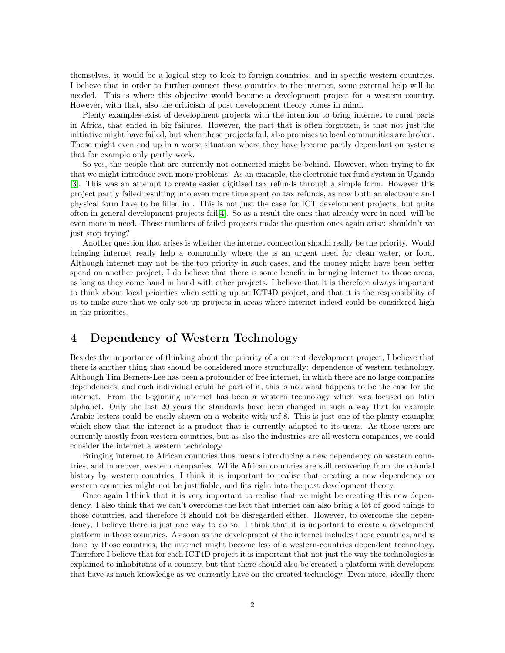themselves, it would be a logical step to look to foreign countries, and in specific western countries. I believe that in order to further connect these countries to the internet, some external help will be needed. This is where this objective would become a development project for a western country. However, with that, also the criticism of post development theory comes in mind.

Plenty examples exist of development projects with the intention to bring internet to rural parts in Africa, that ended in big failures. However, the part that is often forgotten, is that not just the initiative might have failed, but when those projects fail, also promises to local communities are broken. Those might even end up in a worse situation where they have become partly dependant on systems that for example only partly work.

So yes, the people that are currently not connected might be behind. However, when trying to fix that we might introduce even more problems. As an example, the electronic tax fund system in Uganda [\[3\]](#page-2-2). This was an attempt to create easier digitised tax refunds through a simple form. However this project partly failed resulting into even more time spent on tax refunds, as now both an electronic and physical form have to be filled in . This is not just the case for ICT development projects, but quite often in general development projects fail[\[4\]](#page-2-3). So as a result the ones that already were in need, will be even more in need. Those numbers of failed projects make the question ones again arise: shouldn't we just stop trying?

Another question that arises is whether the internet connection should really be the priority. Would bringing internet really help a community where the is an urgent need for clean water, or food. Although internet may not be the top priority in such cases, and the money might have been better spend on another project, I do believe that there is some benefit in bringing internet to those areas, as long as they come hand in hand with other projects. I believe that it is therefore always important to think about local priorities when setting up an ICT4D project, and that it is the responsibility of us to make sure that we only set up projects in areas where internet indeed could be considered high in the priorities.

### 4 Dependency of Western Technology

Besides the importance of thinking about the priority of a current development project, I believe that there is another thing that should be considered more structurally: dependence of western technology. Although Tim Berners-Lee has been a profounder of free internet, in which there are no large companies dependencies, and each individual could be part of it, this is not what happens to be the case for the internet. From the beginning internet has been a western technology which was focused on latin alphabet. Only the last 20 years the standards have been changed in such a way that for example Arabic letters could be easily shown on a website with utf-8. This is just one of the plenty examples which show that the internet is a product that is currently adapted to its users. As those users are currently mostly from western countries, but as also the industries are all western companies, we could consider the internet a western technology.

Bringing internet to African countries thus means introducing a new dependency on western countries, and moreover, western companies. While African countries are still recovering from the colonial history by western countries, I think it is important to realise that creating a new dependency on western countries might not be justifiable, and fits right into the post development theory.

Once again I think that it is very important to realise that we might be creating this new dependency. I also think that we can't overcome the fact that internet can also bring a lot of good things to those countries, and therefore it should not be disregarded either. However, to overcome the dependency, I believe there is just one way to do so. I think that it is important to create a development platform in those countries. As soon as the development of the internet includes those countries, and is done by those countries, the internet might become less of a western-countries dependent technology. Therefore I believe that for each ICT4D project it is important that not just the way the technologies is explained to inhabitants of a country, but that there should also be created a platform with developers that have as much knowledge as we currently have on the created technology. Even more, ideally there